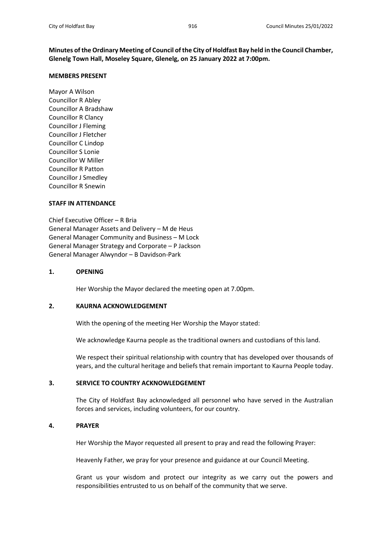**Minutes of the Ordinary Meeting of Council of the City of Holdfast Bay held in the Council Chamber, Glenelg Town Hall, Moseley Square, Glenelg, on 25 January 2022 at 7:00pm.**

### **MEMBERS PRESENT**

Mayor A Wilson Councillor R Abley Councillor A Bradshaw Councillor R Clancy Councillor J Fleming Councillor J Fletcher Councillor C Lindop Councillor S Lonie Councillor W Miller Councillor R Patton Councillor J Smedley Councillor R Snewin

### **STAFF IN ATTENDANCE**

Chief Executive Officer – R Bria General Manager Assets and Delivery – M de Heus General Manager Community and Business – M Lock General Manager Strategy and Corporate – P Jackson General Manager Alwyndor – B Davidson-Park

### **1. OPENING**

Her Worship the Mayor declared the meeting open at 7.00pm.

### **2. KAURNA ACKNOWLEDGEMENT**

With the opening of the meeting Her Worship the Mayor stated:

We acknowledge Kaurna people as the traditional owners and custodians of this land.

We respect their spiritual relationship with country that has developed over thousands of years, and the cultural heritage and beliefs that remain important to Kaurna People today.

### **3. SERVICE TO COUNTRY ACKNOWLEDGEMENT**

The City of Holdfast Bay acknowledged all personnel who have served in the Australian forces and services, including volunteers, for our country.

### **4. PRAYER**

Her Worship the Mayor requested all present to pray and read the following Prayer:

Heavenly Father, we pray for your presence and guidance at our Council Meeting.

Grant us your wisdom and protect our integrity as we carry out the powers and responsibilities entrusted to us on behalf of the community that we serve.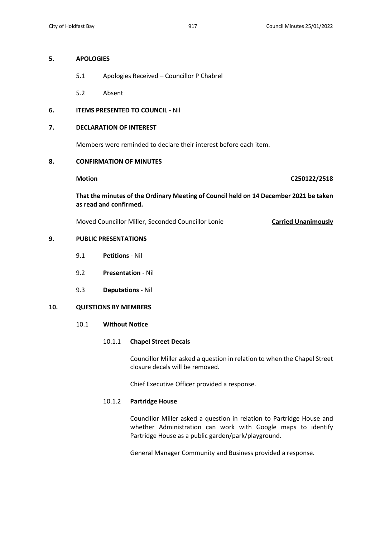### **5. APOLOGIES**

- 5.1 Apologies Received Councillor P Chabrel
- 5.2 Absent

# **6. ITEMS PRESENTED TO COUNCIL -** Nil

## **7. DECLARATION OF INTEREST**

Members were reminded to declare their interest before each item.

# **8. CONFIRMATION OF MINUTES**

**Motion C250122/2518**

**That the minutes of the Ordinary Meeting of Council held on 14 December 2021 be taken as read and confirmed.**

Moved Councillor Miller, Seconded Councillor Lonie **Carried Unanimously**

# **9. PUBLIC PRESENTATIONS**

- 9.1 **Petitions** Nil
- 9.2 **Presentation** Nil
- 9.3 **Deputations** Nil

# **10. QUESTIONS BY MEMBERS**

# 10.1 **Without Notice**

### 10.1.1 **Chapel Street Decals**

Councillor Miller asked a question in relation to when the Chapel Street closure decals will be removed.

Chief Executive Officer provided a response.

## 10.1.2 **Partridge House**

Councillor Miller asked a question in relation to Partridge House and whether Administration can work with Google maps to identify Partridge House as a public garden/park/playground.

General Manager Community and Business provided a response.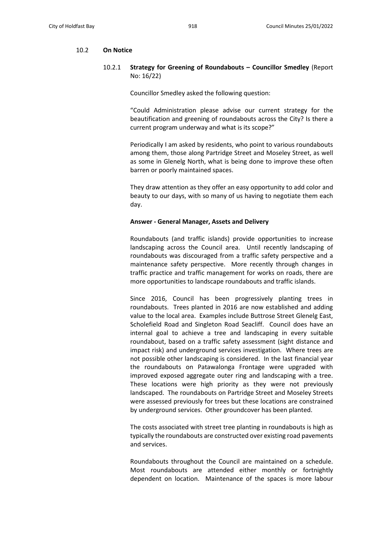### 10.2 **On Notice**

10.2.1 **Strategy for Greening of Roundabouts – Councillor Smedley** (Report No: 16/22)

Councillor Smedley asked the following question:

"Could Administration please advise our current strategy for the beautification and greening of roundabouts across the City? Is there a current program underway and what is its scope?"

Periodically I am asked by residents, who point to various roundabouts among them, those along Partridge Street and Moseley Street, as well as some in Glenelg North, what is being done to improve these often barren or poorly maintained spaces.

They draw attention as they offer an easy opportunity to add color and beauty to our days, with so many of us having to negotiate them each day.

### **Answer - General Manager, Assets and Delivery**

Roundabouts (and traffic islands) provide opportunities to increase landscaping across the Council area. Until recently landscaping of roundabouts was discouraged from a traffic safety perspective and a maintenance safety perspective. More recently through changes in traffic practice and traffic management for works on roads, there are more opportunities to landscape roundabouts and traffic islands.

Since 2016, Council has been progressively planting trees in roundabouts. Trees planted in 2016 are now established and adding value to the local area. Examples include Buttrose Street Glenelg East, Scholefield Road and Singleton Road Seacliff. Council does have an internal goal to achieve a tree and landscaping in every suitable roundabout, based on a traffic safety assessment (sight distance and impact risk) and underground services investigation. Where trees are not possible other landscaping is considered. In the last financial year the roundabouts on Patawalonga Frontage were upgraded with improved exposed aggregate outer ring and landscaping with a tree. These locations were high priority as they were not previously landscaped. The roundabouts on Partridge Street and Moseley Streets were assessed previously for trees but these locations are constrained by underground services. Other groundcover has been planted.

The costs associated with street tree planting in roundabouts is high as typically the roundabouts are constructed over existing road pavements and services.

Roundabouts throughout the Council are maintained on a schedule. Most roundabouts are attended either monthly or fortnightly dependent on location. Maintenance of the spaces is more labour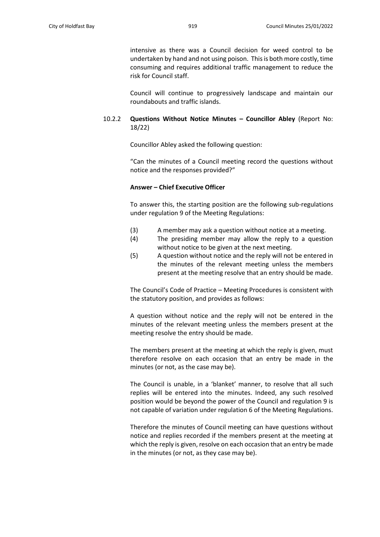intensive as there was a Council decision for weed control to be undertaken by hand and not using poison. This is both more costly, time consuming and requires additional traffic management to reduce the risk for Council staff.

Council will continue to progressively landscape and maintain our roundabouts and traffic islands.

# 10.2.2 **Questions Without Notice Minutes – Councillor Abley** (Report No: 18/22)

Councillor Abley asked the following question:

"Can the minutes of a Council meeting record the questions without notice and the responses provided?"

## **Answer – Chief Executive Officer**

To answer this, the starting position are the following sub-regulations under regulation 9 of the Meeting Regulations:

- (3) A member may ask a question without notice at a meeting.
- (4) The presiding member may allow the reply to a question without notice to be given at the next meeting.
- (5) A question without notice and the reply will not be entered in the minutes of the relevant meeting unless the members present at the meeting resolve that an entry should be made.

The Council's Code of Practice – Meeting Procedures is consistent with the statutory position, and provides as follows:

A question without notice and the reply will not be entered in the minutes of the relevant meeting unless the members present at the meeting resolve the entry should be made.

The members present at the meeting at which the reply is given, must therefore resolve on each occasion that an entry be made in the minutes (or not, as the case may be).

The Council is unable, in a 'blanket' manner, to resolve that all such replies will be entered into the minutes. Indeed, any such resolved position would be beyond the power of the Council and regulation 9 is not capable of variation under regulation 6 of the Meeting Regulations.

Therefore the minutes of Council meeting can have questions without notice and replies recorded if the members present at the meeting at which the reply is given, resolve on each occasion that an entry be made in the minutes (or not, as they case may be).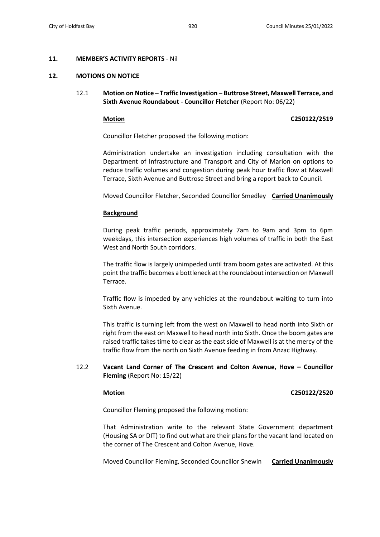### **11. MEMBER'S ACTIVITY REPORTS** - Nil

### **12. MOTIONS ON NOTICE**

12.1 **Motion on Notice – Traffic Investigation – Buttrose Street, Maxwell Terrace, and Sixth Avenue Roundabout - Councillor Fletcher** (Report No: 06/22)

### **Motion C250122/2519**

Councillor Fletcher proposed the following motion:

Administration undertake an investigation including consultation with the Department of Infrastructure and Transport and City of Marion on options to reduce traffic volumes and congestion during peak hour traffic flow at Maxwell Terrace, Sixth Avenue and Buttrose Street and bring a report back to Council.

Moved Councillor Fletcher, Seconded Councillor Smedley **Carried Unanimously**

### **Background**

During peak traffic periods, approximately 7am to 9am and 3pm to 6pm weekdays, this intersection experiences high volumes of traffic in both the East West and North South corridors.

The traffic flow is largely unimpeded until tram boom gates are activated. At this point the traffic becomes a bottleneck at the roundabout intersection on Maxwell Terrace.

Traffic flow is impeded by any vehicles at the roundabout waiting to turn into Sixth Avenue.

This traffic is turning left from the west on Maxwell to head north into Sixth or right from the east on Maxwell to head north into Sixth. Once the boom gates are raised traffic takes time to clear as the east side of Maxwell is at the mercy of the traffic flow from the north on Sixth Avenue feeding in from Anzac Highway.

# 12.2 **Vacant Land Corner of The Crescent and Colton Avenue, Hove – Councillor Fleming** (Report No: 15/22)

### **Motion C250122/2520**

Councillor Fleming proposed the following motion:

That Administration write to the relevant State Government department (Housing SA or DIT) to find out what are their plans for the vacant land located on the corner of The Crescent and Colton Avenue, Hove.

Moved Councillor Fleming, Seconded Councillor Snewin **Carried Unanimously**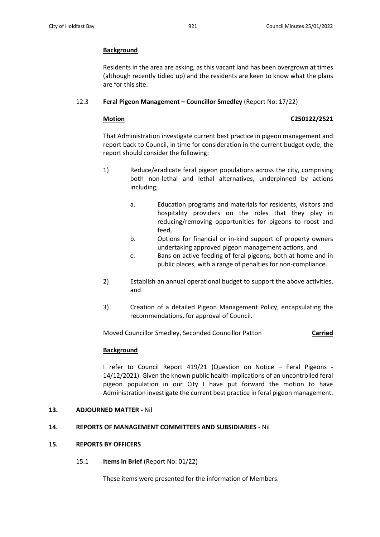# **Background**

Residents in the area are asking, as this vacant land has been overgrown at times (although recently tidied up) and the residents are keen to know what the plans are for this site.

# 12.3 **Feral Pigeon Management – Councillor Smedley** (Report No: 17/22)

# **Motion C250122/2521**

That Administration investigate current best practice in pigeon management and report back to Council, in time for consideration in the current budget cycle, the report should consider the following:

- 1) Reduce/eradicate feral pigeon populations across the city, comprising both non-lethal and lethal alternatives, underpinned by actions including;
	- a. Education programs and materials for residents, visitors and hospitality providers on the roles that they play in reducing/removing opportunities for pigeons to roost and feed,
	- b. Options for financial or in-kind support of property owners undertaking approved pigeon management actions, and
	- c. Bans on active feeding of feral pigeons, both at home and in public places, with a range of penalties for non-compliance.
- 2) Establish an annual operational budget to support the above activities, and
- 3) Creation of a detailed Pigeon Management Policy, encapsulating the recommendations, for approval of Council.

Moved Councillor Smedley, Seconded Councillor Patton **Carried**

# **Background**

I refer to Council Report 419/21 (Question on Notice – Feral Pigeons - 14/12/2021). Given the known public health implications of an uncontrolled feral pigeon population in our City I have put forward the motion to have Administration investigate the current best practice in feral pigeon management.

# **13. ADJOURNED MATTER -** Nil

# **14. REPORTS OF MANAGEMENT COMMITTEES AND SUBSIDIARIES** - Nil

# **15. REPORTS BY OFFICERS**

15.1 **Items in Brief** (Report No: 01/22)

These items were presented for the information of Members.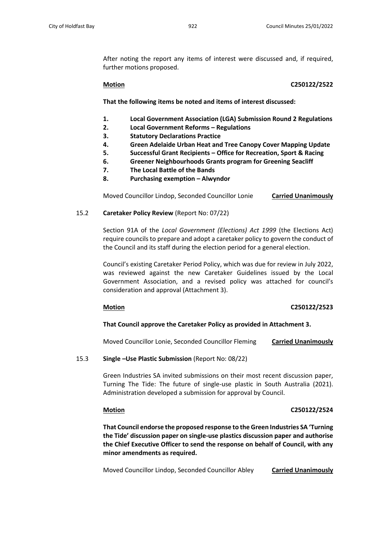After noting the report any items of interest were discussed and, if required, further motions proposed.

## **Motion C250122/2522**

**That the following items be noted and items of interest discussed:**

- **1. Local Government Association (LGA) Submission Round 2 Regulations**
- **2. Local Government Reforms – Regulations**
- **3. Statutory Declarations Practice**
- **4. Green Adelaide Urban Heat and Tree Canopy Cover Mapping Update**
- **5. Successful Grant Recipients – Office for Recreation, Sport & Racing**
- **6. Greener Neighbourhoods Grants program for Greening Seacliff**
- **7. The Local Battle of the Bands**
- **8. Purchasing exemption – Alwyndor**

Moved Councillor Lindop, Seconded Councillor Lonie **Carried Unanimously**

# 15.2 **Caretaker Policy Review** (Report No: 07/22)

Section 91A of the *Local Government (Elections) Act 1999* (the Elections Act) require councils to prepare and adopt a caretaker policy to govern the conduct of the Council and its staff during the election period for a general election.

Council's existing Caretaker Period Policy, which was due for review in July 2022, was reviewed against the new Caretaker Guidelines issued by the Local Government Association, and a revised policy was attached for council's consideration and approval (Attachment 3).

# **Motion C250122/2523**

# **That Council approve the Caretaker Policy as provided in Attachment 3.**

Moved Councillor Lonie, Seconded Councillor Fleming **Carried Unanimously**

# 15.3 **Single –Use Plastic Submission** (Report No: 08/22)

Green Industries SA invited submissions on their most recent discussion paper, Turning The Tide: The future of single-use plastic in South Australia (2021). Administration developed a submission for approval by Council.

# **Motion C250122/2524**

**That Council endorse the proposed response to the Green Industries SA 'Turning the Tide' discussion paper on single-use plastics discussion paper and authorise the Chief Executive Officer to send the response on behalf of Council, with any minor amendments as required.**

Moved Councillor Lindop, Seconded Councillor Abley **Carried Unanimously**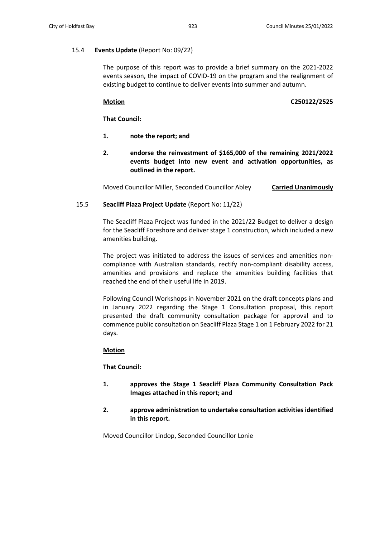### 15.4 **Events Update** (Report No: 09/22)

The purpose of this report was to provide a brief summary on the 2021-2022 events season, the impact of COVID-19 on the program and the realignment of existing budget to continue to deliver events into summer and autumn.

## **Motion C250122/2525**

**That Council:**

- **1. note the report; and**
- **2. endorse the reinvestment of \$165,000 of the remaining 2021/2022 events budget into new event and activation opportunities, as outlined in the report.**

Moved Councillor Miller, Seconded Councillor Abley **Carried Unanimously**

# 15.5 **Seacliff Plaza Project Update** (Report No: 11/22)

The Seacliff Plaza Project was funded in the 2021/22 Budget to deliver a design for the Seacliff Foreshore and deliver stage 1 construction, which included a new amenities building.

The project was initiated to address the issues of services and amenities noncompliance with Australian standards, rectify non-compliant disability access, amenities and provisions and replace the amenities building facilities that reached the end of their useful life in 2019.

Following Council Workshops in November 2021 on the draft concepts plans and in January 2022 regarding the Stage 1 Consultation proposal, this report presented the draft community consultation package for approval and to commence public consultation on Seacliff Plaza Stage 1 on 1 February 2022 for 21 days.

### **Motion**

**That Council:**

- **1. approves the Stage 1 Seacliff Plaza Community Consultation Pack Images attached in this report; and**
- **2. approve administration to undertake consultation activities identified in this report.**

Moved Councillor Lindop, Seconded Councillor Lonie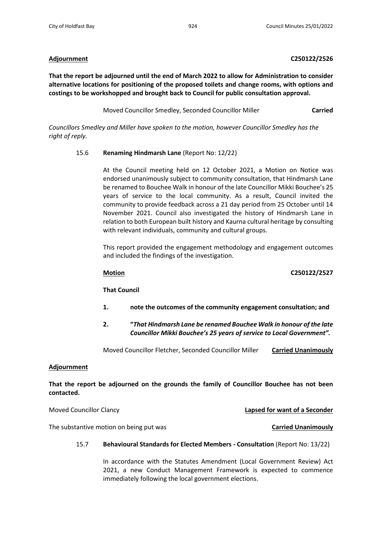### **Adjournment C250122/2526**

**That the report be adjourned until the end of March 2022 to allow for Administration to consider alternative locations for positioning of the proposed toilets and change rooms, with options and costings to be workshopped and brought back to Council for public consultation approval.**

Moved Councillor Smedley, Seconded Councillor Miller **Carried**

*Councillors Smedley and Miller have spoken to the motion, however Councillor Smedley has the right of reply.*

### 15.6 **Renaming Hindmarsh Lane** (Report No: 12/22)

At the Council meeting held on 12 October 2021, a Motion on Notice was endorsed unanimously subject to community consultation, that Hindmarsh Lane be renamed to Bouchee Walk in honour of the late Councillor Mikki Bouchee's 25 years of service to the local community. As a result, Council invited the community to provide feedback across a 21 day period from 25 October until 14 November 2021. Council also investigated the history of Hindmarsh Lane in relation to both European built history and Kaurna cultural heritage by consulting with relevant individuals, community and cultural groups.

This report provided the engagement methodology and engagement outcomes and included the findings of the investigation.

### **Motion C250122/2527**

**That Council** 

- **1. note the outcomes of the community engagement consultation; and**
- **2. "***That Hindmarsh Lane be renamed Bouchee Walk in honour of the late Councillor Mikki Bouchee's 25 years of service to Local Government".*

Moved Councillor Fletcher, Seconded Councillor Miller **Carried Unanimously**

# **Adjournment**

**That the report be adjourned on the grounds the family of Councillor Bouchee has not been contacted.**

Moved Councillor Clancy **Lapsed for want of a Seconder**

The substantive motion on being put was **Carried Unanimously**

### 15.7 **Behavioural Standards for Elected Members - Consultation** (Report No: 13/22)

In accordance with the Statutes Amendment (Local Government Review) Act 2021, a new Conduct Management Framework is expected to commence immediately following the local government elections.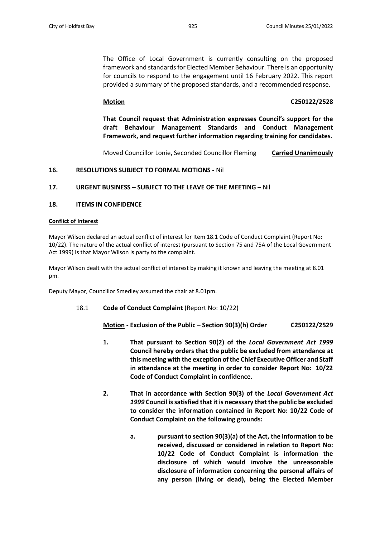The Office of Local Government is currently consulting on the proposed framework and standards for Elected Member Behaviour. There is an opportunity for councils to respond to the engagement until 16 February 2022. This report provided a summary of the proposed standards, and a recommended response.

## **Motion C250122/2528**

**That Council request that Administration expresses Council's support for the draft Behaviour Management Standards and Conduct Management Framework, and request further information regarding training for candidates.**

Moved Councillor Lonie, Seconded Councillor Fleming **Carried Unanimously**

### **16. RESOLUTIONS SUBJECT TO FORMAL MOTIONS -** Nil

# **17. URGENT BUSINESS – SUBJECT TO THE LEAVE OF THE MEETING –** Nil

### **18. ITEMS IN CONFIDENCE**

### **Conflict of Interest**

Mayor Wilson declared an actual conflict of interest for Item 18.1 Code of Conduct Complaint (Report No: 10/22). The nature of the actual conflict of interest (pursuant to Section 75 and 75A of the Local Government Act 1999) is that Mayor Wilson is party to the complaint.

Mayor Wilson dealt with the actual conflict of interest by making it known and leaving the meeting at 8.01 pm.

Deputy Mayor, Councillor Smedley assumed the chair at 8.01pm.

18.1 **Code of Conduct Complaint** (Report No: 10/22)

**Motion - Exclusion of the Public – Section 90(3)(h) Order C250122/2529**

- **1. That pursuant to Section 90(2) of the** *Local Government Act 1999* **Council hereby orders that the public be excluded from attendance at this meeting with the exception of the Chief Executive Officer and Staff in attendance at the meeting in order to consider Report No: 10/22 Code of Conduct Complaint in confidence.**
- **2. That in accordance with Section 90(3) of the** *Local Government Act 1999* **Council is satisfied that it is necessary that the public be excluded to consider the information contained in Report No: 10/22 Code of Conduct Complaint on the following grounds:**
	- **a. pursuant to section 90(3)(a) of the Act, the information to be received, discussed or considered in relation to Report No: 10/22 Code of Conduct Complaint is information the disclosure of which would involve the unreasonable disclosure of information concerning the personal affairs of any person (living or dead), being the Elected Member**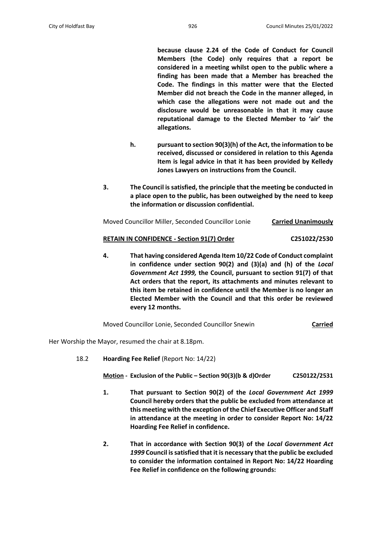**because clause 2.24 of the Code of Conduct for Council Members (the Code) only requires that a report be considered in a meeting whilst open to the public where a finding has been made that a Member has breached the Code. The findings in this matter were that the Elected Member did not breach the Code in the manner alleged, in which case the allegations were not made out and the disclosure would be unreasonable in that it may cause reputational damage to the Elected Member to 'air' the allegations.**

- **h. pursuant to section 90(3)(h) of the Act, the information to be received, discussed or considered in relation to this Agenda Item is legal advice in that it has been provided by Kelledy Jones Lawyers on instructions from the Council.**
- **3. The Council is satisfied, the principle that the meeting be conducted in a place open to the public, has been outweighed by the need to keep the information or discussion confidential.**

| Moved Councillor Miller, Seconded Councillor Lonie | <b>Carried Unanimously</b> |
|----------------------------------------------------|----------------------------|
|                                                    |                            |

# **RETAIN IN CONFIDENCE - Section 91(7) Order C251022/2530**

**4. That having considered Agenda Item 10/22 Code of Conduct complaint in confidence under section 90(2) and (3)(a) and (h) of the** *Local Government Act 1999,* **the Council, pursuant to section 91(7) of that Act orders that the report, its attachments and minutes relevant to this item be retained in confidence until the Member is no longer an Elected Member with the Council and that this order be reviewed every 12 months.**

Moved Councillor Lonie, Seconded Councillor Snewin **Carried**

Her Worship the Mayor, resumed the chair at 8.18pm.

18.2 **Hoarding Fee Relief** (Report No: 14/22)

**Motion - Exclusion of the Public – Section 90(3)(b & d)Order C250122/2531**

- **1. That pursuant to Section 90(2) of the** *Local Government Act 1999* **Council hereby orders that the public be excluded from attendance at this meeting with the exception of the Chief Executive Officer and Staff in attendance at the meeting in order to consider Report No: 14/22 Hoarding Fee Relief in confidence.**
- **2. That in accordance with Section 90(3) of the** *Local Government Act 1999* **Council is satisfied that it is necessary that the public be excluded to consider the information contained in Report No: 14/22 Hoarding Fee Relief in confidence on the following grounds:**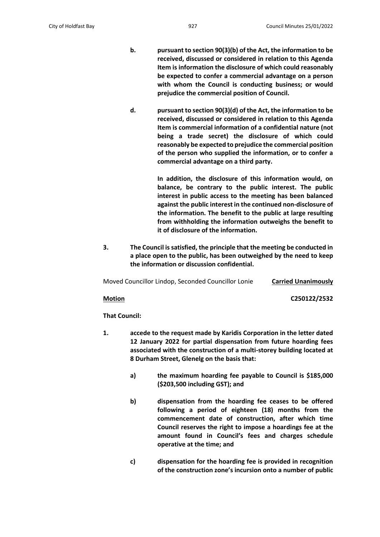- **b. pursuant to section 90(3)(b) of the Act, the information to be received, discussed or considered in relation to this Agenda Item is information the disclosure of which could reasonably be expected to confer a commercial advantage on a person with whom the Council is conducting business; or would prejudice the commercial position of Council.**
- **d. pursuant to section 90(3)(d) of the Act, the information to be received, discussed or considered in relation to this Agenda Item is commercial information of a confidential nature (not being a trade secret) the disclosure of which could reasonably be expected to prejudice the commercial position of the person who supplied the information, or to confer a commercial advantage on a third party.**

**In addition, the disclosure of this information would, on balance, be contrary to the public interest. The public interest in public access to the meeting has been balanced against the public interest in the continued non-disclosure of the information. The benefit to the public at large resulting from withholding the information outweighs the benefit to it of disclosure of the information.** 

**3. The Council is satisfied, the principle that the meeting be conducted in a place open to the public, has been outweighed by the need to keep the information or discussion confidential.**

Moved Councillor Lindop, Seconded Councillor Lonie **Carried Unanimously**

**Motion C250122/2532**

**That Council:**

- **1. accede to the request made by Karidis Corporation in the letter dated 12 January 2022 for partial dispensation from future hoarding fees associated with the construction of a multi-storey building located at 8 Durham Street, Glenelg on the basis that:**
	- **a) the maximum hoarding fee payable to Council is \$185,000 (\$203,500 including GST); and**
	- **b) dispensation from the hoarding fee ceases to be offered following a period of eighteen (18) months from the commencement date of construction, after which time Council reserves the right to impose a hoardings fee at the amount found in Council's fees and charges schedule operative at the time; and**
	- **c) dispensation for the hoarding fee is provided in recognition of the construction zone's incursion onto a number of public**